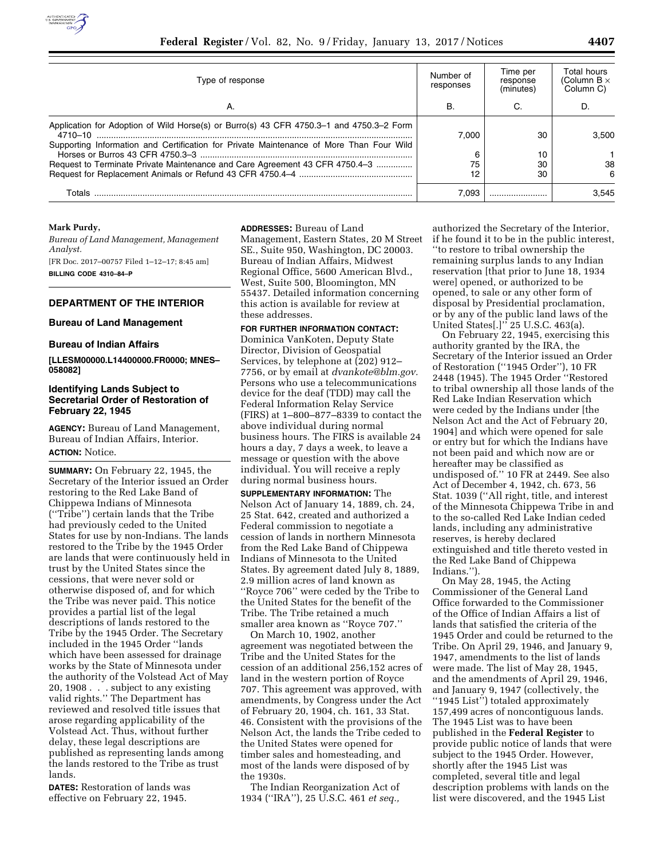

| Type of response                                                                                                                                                                              | Number of<br>responses | Time per<br>response<br>(minutes) | Total hours<br>(Column B $\times$<br>Column C) |  |
|-----------------------------------------------------------------------------------------------------------------------------------------------------------------------------------------------|------------------------|-----------------------------------|------------------------------------------------|--|
| Α.                                                                                                                                                                                            | В.                     | C.                                | D.                                             |  |
| Application for Adoption of Wild Horse(s) or Burro(s) 43 CFR 4750.3-1 and 4750.3-2 Form<br>4710–10<br>Supporting Information and Certification for Private Maintenance of More Than Four Wild | 7.000                  | 30                                | 3.500                                          |  |
|                                                                                                                                                                                               | 6                      | 10                                |                                                |  |
| Request to Terminate Private Maintenance and Care Agreement 43 CFR 4750.4-3                                                                                                                   | 75<br>12               | 30<br>30                          | 38<br>6                                        |  |
| Totals                                                                                                                                                                                        | 7.093                  |                                   | 3.545                                          |  |

### **Mark Purdy,**

*Bureau of Land Management, Management Analyst.* 

[FR Doc. 2017–00757 Filed 1–12–17; 8:45 am] **BILLING CODE 4310–84–P** 

# **DEPARTMENT OF THE INTERIOR**

## **Bureau of Land Management**

### **Bureau of Indian Affairs**

**[LLESM00000.L14400000.FR0000; MNES– 058082]** 

## **Identifying Lands Subject to Secretarial Order of Restoration of February 22, 1945**

**AGENCY:** Bureau of Land Management, Bureau of Indian Affairs, Interior. **ACTION:** Notice.

**SUMMARY:** On February 22, 1945, the Secretary of the Interior issued an Order restoring to the Red Lake Band of Chippewa Indians of Minnesota (''Tribe'') certain lands that the Tribe had previously ceded to the United States for use by non-Indians. The lands restored to the Tribe by the 1945 Order are lands that were continuously held in trust by the United States since the cessions, that were never sold or otherwise disposed of, and for which the Tribe was never paid. This notice provides a partial list of the legal descriptions of lands restored to the Tribe by the 1945 Order. The Secretary included in the 1945 Order ''lands which have been assessed for drainage works by the State of Minnesota under the authority of the Volstead Act of May 20, 1908 . . . subject to any existing valid rights.'' The Department has reviewed and resolved title issues that arose regarding applicability of the Volstead Act. Thus, without further delay, these legal descriptions are published as representing lands among the lands restored to the Tribe as trust lands.

**DATES:** Restoration of lands was effective on February 22, 1945.

**ADDRESSES:** Bureau of Land

Management, Eastern States, 20 M Street SE., Suite 950, Washington, DC 20003. Bureau of Indian Affairs, Midwest Regional Office, 5600 American Blvd., West, Suite 500, Bloomington, MN 55437. Detailed information concerning this action is available for review at these addresses.

## **FOR FURTHER INFORMATION CONTACT:**

Dominica VanKoten, Deputy State Director, Division of Geospatial Services, by telephone at (202) 912– 7756, or by email at *[dvankote@blm.gov.](mailto:dvankote@blm.gov)*  Persons who use a telecommunications device for the deaf (TDD) may call the Federal Information Relay Service (FIRS) at 1–800–877–8339 to contact the above individual during normal business hours. The FIRS is available 24 hours a day, 7 days a week, to leave a message or question with the above individual. You will receive a reply during normal business hours.

**SUPPLEMENTARY INFORMATION:** The Nelson Act of January 14, 1889, ch. 24, 25 Stat. 642, created and authorized a Federal commission to negotiate a cession of lands in northern Minnesota from the Red Lake Band of Chippewa Indians of Minnesota to the United States. By agreement dated July 8, 1889, 2.9 million acres of land known as ''Royce 706'' were ceded by the Tribe to the United States for the benefit of the Tribe. The Tribe retained a much smaller area known as ''Royce 707.''

On March 10, 1902, another agreement was negotiated between the Tribe and the United States for the cession of an additional 256,152 acres of land in the western portion of Royce 707. This agreement was approved, with amendments, by Congress under the Act of February 20, 1904, ch. 161, 33 Stat. 46. Consistent with the provisions of the Nelson Act, the lands the Tribe ceded to the United States were opened for timber sales and homesteading, and most of the lands were disposed of by the 1930s.

The Indian Reorganization Act of 1934 (''IRA''), 25 U.S.C. 461 *et seq.,* 

authorized the Secretary of the Interior, if he found it to be in the public interest, ''to restore to tribal ownership the remaining surplus lands to any Indian reservation [that prior to June 18, 1934 were] opened, or authorized to be opened, to sale or any other form of disposal by Presidential proclamation, or by any of the public land laws of the United States[.]'' 25 U.S.C. 463(a).

On February 22, 1945, exercising this authority granted by the IRA, the Secretary of the Interior issued an Order of Restoration (''1945 Order''), 10 FR 2448 (1945). The 1945 Order ''Restored to tribal ownership all those lands of the Red Lake Indian Reservation which were ceded by the Indians under [the Nelson Act and the Act of February 20, 1904] and which were opened for sale or entry but for which the Indians have not been paid and which now are or hereafter may be classified as undisposed of.'' 10 FR at 2449. See also Act of December 4, 1942, ch. 673, 56 Stat. 1039 (''All right, title, and interest of the Minnesota Chippewa Tribe in and to the so-called Red Lake Indian ceded lands, including any administrative reserves, is hereby declared extinguished and title thereto vested in the Red Lake Band of Chippewa Indians.'').

On May 28, 1945, the Acting Commissioner of the General Land Office forwarded to the Commissioner of the Office of Indian Affairs a list of lands that satisfied the criteria of the 1945 Order and could be returned to the Tribe. On April 29, 1946, and January 9, 1947, amendments to the list of lands were made. The list of May 28, 1945, and the amendments of April 29, 1946, and January 9, 1947 (collectively, the ''1945 List'') totaled approximately 157,499 acres of noncontiguous lands. The 1945 List was to have been published in the **Federal Register** to provide public notice of lands that were subject to the 1945 Order. However, shortly after the 1945 List was completed, several title and legal description problems with lands on the list were discovered, and the 1945 List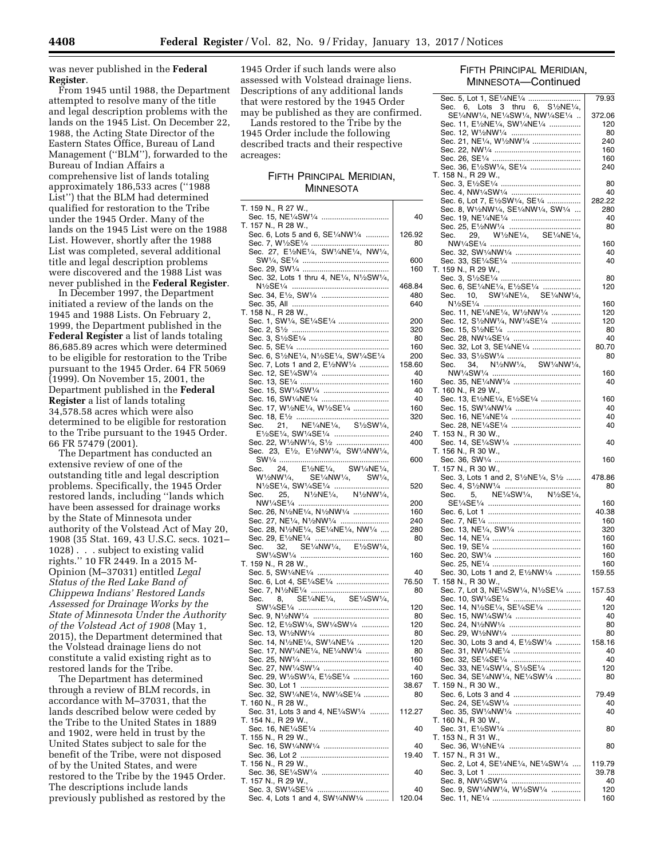was never published in the **Federal Register**.

From 1945 until 1988, the Department attempted to resolve many of the title and legal description problems with the lands on the 1945 List. On December 22, 1988, the Acting State Director of the Eastern States Office, Bureau of Land Management (''BLM''), forwarded to the Bureau of Indian Affairs a comprehensive list of lands totaling approximately 186,533 acres (''1988 List'') that the BLM had determined qualified for restoration to the Tribe under the 1945 Order. Many of the lands on the 1945 List were on the 1988 List. However, shortly after the 1988 List was completed, several additional title and legal description problems were discovered and the 1988 List was never published in the **Federal Register**.

In December 1997, the Department initiated a review of the lands on the 1945 and 1988 Lists. On February 2, 1999, the Department published in the **Federal Register** a list of lands totaling 86,685.89 acres which were determined to be eligible for restoration to the Tribe pursuant to the 1945 Order. 64 FR 5069 (1999). On November 15, 2001, the Department published in the **Federal Register** a list of lands totaling 34,578.58 acres which were also determined to be eligible for restoration to the Tribe pursuant to the 1945 Order. 66 FR 57479 (2001).

The Department has conducted an extensive review of one of the outstanding title and legal description problems. Specifically, the 1945 Order restored lands, including ''lands which have been assessed for drainage works by the State of Minnesota under authority of the Volstead Act of May 20, 1908 (35 Stat. 169, 43 U.S.C. secs. 1021– 1028) . . . subject to existing valid rights.'' 10 FR 2449. In a 2015 M-Opinion (M–37031) entitled *Legal Status of the Red Lake Band of Chippewa Indians' Restored Lands Assessed for Drainage Works by the State of Minnesota Under the Authority of the Volstead Act of 1908* (May 1, 2015), the Department determined that the Volstead drainage liens do not constitute a valid existing right as to restored lands for the Tribe.

The Department has determined through a review of BLM records, in accordance with M–37031, that the lands described below were ceded by the Tribe to the United States in 1889 and 1902, were held in trust by the United States subject to sale for the benefit of the Tribe, were not disposed of by the United States, and were restored to the Tribe by the 1945 Order. The descriptions include lands previously published as restored by the

1945 Order if such lands were also assessed with Volstead drainage liens. Descriptions of any additional lands that were restored by the 1945 Order may be published as they are confirmed.

Lands restored to the Tribe by the 1945 Order include the following described tracts and their respective acreages:

## FIFTH PRINCIPAL MERIDIAN, **MINNESOTA**

| T. 159 N., R 27 W.,                                                                                                                                                                                 |           |
|-----------------------------------------------------------------------------------------------------------------------------------------------------------------------------------------------------|-----------|
|                                                                                                                                                                                                     | 40        |
| T. 157 N., R 28 W.,                                                                                                                                                                                 |           |
| Sec. 6, Lots 5 and 6, SE1/4NW1/4                                                                                                                                                                    | 126.92    |
|                                                                                                                                                                                                     | 80        |
| Sec. 27, E <sup>1</sup> /2NE <sup>1</sup> /4, SW <sup>1</sup> /4NE <sup>1</sup> /4, NW <sup>1</sup> /4,                                                                                             | 600       |
|                                                                                                                                                                                                     | 160       |
| Sec. 32, Lots 1 thru 4, NE1/4, N1/2SW1/4,                                                                                                                                                           |           |
|                                                                                                                                                                                                     | 468.84    |
| Sec. 34, E1/2, SW1/4                                                                                                                                                                                | 480       |
|                                                                                                                                                                                                     | 640       |
| T. 158 N., R 28 W.,                                                                                                                                                                                 |           |
| Sec. 1, SW1/4, SE1/4SE1/4                                                                                                                                                                           | 200       |
|                                                                                                                                                                                                     | 320       |
|                                                                                                                                                                                                     | -80       |
|                                                                                                                                                                                                     | 160       |
| Sec. 6, S <sup>1</sup> / <sub>2</sub> NE <sup>1</sup> / <sub>4</sub> , N <sup>1</sup> / <sub>2</sub> SE <sup>1</sup> / <sub>4</sub> , SW <sup>1</sup> / <sub>4</sub> SE <sup>1</sup> / <sub>4</sub> | 200       |
| Sec. 7, Lots 1 and 2, E1/2NW1/4                                                                                                                                                                     | 158.60    |
| Sec. 12, SE1/4SW1/4                                                                                                                                                                                 | 40        |
|                                                                                                                                                                                                     | 160       |
| Sec. 16, SW1/4NE1/4                                                                                                                                                                                 | -40<br>40 |
| Sec. 17, W <sup>1</sup> /2NE <sup>1</sup> /4, W <sup>1</sup> /2SE <sup>1</sup> /4                                                                                                                   | 160       |
|                                                                                                                                                                                                     | 320       |
|                                                                                                                                                                                                     |           |
|                                                                                                                                                                                                     | 240       |
| Sec. 22, W <sup>1</sup> / <sub>2</sub> NW <sup>1</sup> /4, S <sup>1</sup> /2                                                                                                                        | 400       |
| Sec. 23, E <sup>1</sup> / <sub>2</sub> , E <sup>1</sup> / <sub>2</sub> NW <sup>1</sup> / <sub>4</sub> , SW <sup>1</sup> / <sub>4</sub> NW <sup>1</sup> / <sub>4</sub> ,                             |           |
|                                                                                                                                                                                                     | 600       |
|                                                                                                                                                                                                     |           |
|                                                                                                                                                                                                     |           |
| $\begin{tabular}{ll} Sec. & 24, & E1/2NE1/4, & SW1/4NE1/4, \\ W1/2NW1/4, & SE1/4NW1/4, & SW1/4, \\ N1/2SE1/4, SW1/4SE1/4 & \ldots \\ \end{tabular}$                                                 | 520       |
| 25, N <sup>1</sup> / <sub>2</sub> NE <sup>1</sup> / <sub>4</sub> , N <sup>1</sup> / <sub>2</sub> NW <sup>1</sup> / <sub>4</sub> ,<br>Sec.                                                           |           |
|                                                                                                                                                                                                     | 200       |
| Sec. 26, N <sup>1</sup> /2NE <sup>1</sup> /4, N <sup>1</sup> /2NW <sup>1</sup> /4                                                                                                                   | 160       |
| Sec. 27, NE1/4, N1/2NW1/4                                                                                                                                                                           | 240       |
| Sec. 28, N <sup>1</sup> /2NE <sup>1</sup> /4, SE <sup>1</sup> /4NE <sup>1</sup> /4, NW <sup>1</sup> /4                                                                                              | 280       |
| 32, SE1/4NW1/4, E1/2SW1/4,<br>Sec.                                                                                                                                                                  | 80        |
|                                                                                                                                                                                                     | 160       |
| T. 159 N., R 28 W.,                                                                                                                                                                                 |           |
|                                                                                                                                                                                                     | 40        |
| Sec. 6, Lot 4, SE1/4SE1/4                                                                                                                                                                           | 76.50     |
|                                                                                                                                                                                                     | 80        |
| Sec. 8, SE1/4NE1/4, SE1/4SW1/4,                                                                                                                                                                     |           |
|                                                                                                                                                                                                     | 120       |
|                                                                                                                                                                                                     | 80        |
| Sec. 12, E1/2SW1/4, SW1/4SW1/4                                                                                                                                                                      | 120       |
| Sec. 13, W1/2NW1/4                                                                                                                                                                                  | 80        |
| Sec. 14, N <sup>1</sup> /2NE <sup>1</sup> /4, SW <sup>1</sup> /4NE <sup>1</sup> /4                                                                                                                  | 120       |
| Sec. 17, NW1/4NE1/4, NE1/4NW1/4                                                                                                                                                                     | -80       |
| Sec. 27, NW1/4SW1/4                                                                                                                                                                                 | 160<br>40 |
| Sec. 29, W1/2SW1/4, E1/2SE1/4                                                                                                                                                                       | 160       |
| Sec. 30, Lot 1<br>.                                                                                                                                                                                 | 38.67     |
| Sec. 32, SW1/4NE1/4, NW1/4SE1/4                                                                                                                                                                     | 80        |
| T. 160 N., R 28 W.,                                                                                                                                                                                 |           |
| Sec. 31, Lots 3 and 4, NE1/4SW1/4                                                                                                                                                                   | 112.27    |
| T. 154 N., R 29 W.,                                                                                                                                                                                 |           |
|                                                                                                                                                                                                     | 40        |
| T. 155 N., R 29 W.,                                                                                                                                                                                 |           |
| Sec. 16, SW1/4NW1/4                                                                                                                                                                                 | 40        |
|                                                                                                                                                                                                     | 19.40     |
| T. 156 N., R 29 W.,                                                                                                                                                                                 |           |
|                                                                                                                                                                                                     | 40        |
| T. 157 N., R 29 W.,                                                                                                                                                                                 | 40        |
| Sec. 4, Lots 1 and 4, SW1/4NW1/4                                                                                                                                                                    | 120.04    |
|                                                                                                                                                                                                     |           |

# FIFTH PRINCIPAL MERIDIAN, MINNESOTA—Continued

| Sec. 5, Lot 1, SE1/4NE1/4                                                                                                                  | 79.93      |
|--------------------------------------------------------------------------------------------------------------------------------------------|------------|
| Sec. 6, Lots 3 thru 6, S1/2NE1/4,                                                                                                          |            |
| SE1/4NW1/4, NE1/4SW1/4, NW1/4SE1/4                                                                                                         | 372.06     |
| Sec. 11, E1/2NE1/4, SW1/4NE1/4                                                                                                             | 120        |
| Sec. 12, W <sup>1</sup> / <sub>2</sub> NW <sup>1</sup> /4                                                                                  | 80         |
| Sec. 21, NE <sup>1</sup> /4, W <sup>1</sup> / <sub>2</sub> NW <sup>1</sup> /4                                                              | 240<br>160 |
|                                                                                                                                            | 160        |
| Sec. 36, E <sup>1</sup> / <sub>2</sub> SW <sup>1</sup> /4, SE <sup>1</sup> /4                                                              | 240        |
| T. 158 N., R 29 W.,                                                                                                                        |            |
|                                                                                                                                            | 80         |
| Sec. 4, NW1/4SW1/4                                                                                                                         | 40         |
| Sec. 6, Lot 7, E1/2SW1/4, SE1/4                                                                                                            | 282.22     |
| Sec. 8, W1/2NW1/4, SE1/4NW1/4, SW1/4                                                                                                       | 280        |
|                                                                                                                                            | 40         |
| Sec. 25, E <sup>1</sup> / <sub>2</sub> NW <sup>1</sup> /4                                                                                  | 80         |
| 29, W <sup>1</sup> /2NE <sup>1</sup> /4, SE <sup>1</sup> /4NE <sup>1</sup> /4,<br>Sec.                                                     |            |
|                                                                                                                                            | 160        |
| Sec. 32, SW1/4NW1/4                                                                                                                        | 40         |
| Sec. 33, SE1/4SE1/4                                                                                                                        | 40         |
| T. 159 N., R 29 W.,                                                                                                                        |            |
| Sec. 6, SE1/4NE1/4, E1/2SE1/4                                                                                                              | 80<br>120  |
| 10, SW1/4NE1/4, SE1/4NW1/4,<br>Sec.                                                                                                        |            |
|                                                                                                                                            | 160        |
| Sec. 11, NE1/4NE1/4, W1/2NW1/4                                                                                                             | 120        |
| Sec. 12, S <sup>1</sup> / <sub>2</sub> NW <sup>1</sup> /4, NW <sup>1</sup> /4SE <sup>1</sup> /4                                            | 120        |
|                                                                                                                                            | 80         |
| Sec. 28, NW1/4SE1/4                                                                                                                        | 40         |
| Sec. 32, Lot 3, SE1/4NE1/4                                                                                                                 | 80.70      |
|                                                                                                                                            | 80         |
| 34, N <sup>1</sup> / <sub>2</sub> NW <sup>1</sup> / <sub>4</sub> , SW <sup>1</sup> / <sub>4</sub> NW <sup>1</sup> / <sub>4</sub> ,<br>Sec. |            |
|                                                                                                                                            | 160        |
| Sec. 35, NE <sup>1</sup> / <sub>4</sub> NW <sup>1</sup> /4                                                                                 | 40         |
| T. 160 N., R 29 W.,                                                                                                                        |            |
| Sec. 13, E1/2NE1/4, E1/2SE1/4                                                                                                              | 160        |
| Sec. 15, SW1/4NW1/4                                                                                                                        | 40         |
|                                                                                                                                            | 40         |
|                                                                                                                                            | 40         |
| T. 153 N., R 30 W.,                                                                                                                        |            |
| Sec. 14, SE1/4SW1/4                                                                                                                        | 40         |
| T. 156 N., R 30 W.,                                                                                                                        |            |
|                                                                                                                                            | 160        |
| T. 157 N., R 30 W.,<br>Sec. 3, Lots 1 and 2, S1/2NE1/4, S1/2                                                                               | 478.86     |
|                                                                                                                                            | 80         |
| 5, NE <sup>1</sup> /4SW <sup>1</sup> /4, N <sup>1</sup> /2SE <sup>1</sup> /4,<br>Sec.                                                      |            |
|                                                                                                                                            | 160        |
|                                                                                                                                            | 40.38      |
|                                                                                                                                            | 160        |
| Sec. 13, NE1/4, SW1/4                                                                                                                      | 320        |
|                                                                                                                                            | 160        |
|                                                                                                                                            | 160        |
|                                                                                                                                            | 160        |
|                                                                                                                                            | 160        |
| Sec. 30, Lots 1 and 2, E1/2NW1/4                                                                                                           | 159.55     |
| T. 158 N., R 30 W.,                                                                                                                        |            |
| Sec. 7, Lot 3, NE1/4SW1/4, N1/2SE1/4                                                                                                       | 157.53     |
| Sec. 10, SW1/4SE1/4                                                                                                                        | 40         |
| Sec. 14, N1/2SE1/4, SE1/4SE1/4                                                                                                             | 120        |
| Sec. 15, NW1/4SW1/4                                                                                                                        | 40         |
| Sec. 24, N <sup>1</sup> / <sub>2</sub> NW <sup>1</sup> /4                                                                                  | 80         |
| Sec. 29, W <sup>1</sup> /2NW <sup>1</sup> /4                                                                                               | 80         |
| Sec. 30, Lots 3 and 4, E <sup>1</sup> / <sub>2</sub> SW <sup>1</sup> / <sub>4</sub>                                                        | 158.16     |
| Sec. 31, NW1/4NE1/4                                                                                                                        | 40         |
| Sec. 32, SE1/4SE1/4<br>Sec. 33, NE <sup>1</sup> /4SW <sup>1</sup> /4, S <sup>1</sup> /2SE <sup>1</sup> /4                                  | 40         |
| Sec. 34, SE1/4NW1/4, NE1/4SW1/4                                                                                                            | 120<br>80  |
| T. 159 N., R 30 W.,                                                                                                                        |            |
|                                                                                                                                            | 79.49      |
|                                                                                                                                            | 40         |
| Sec. 35, SW1/4NW1/4                                                                                                                        | 40         |
| T. 160 N., R 30 W.,                                                                                                                        |            |
|                                                                                                                                            | 80         |
| T. 153 N., R 31 W.,                                                                                                                        |            |
| Sec. 36, W <sup>1</sup> /2NE <sup>1</sup> /4                                                                                               | 80         |
| T. 157 N., R 31 W.,                                                                                                                        |            |
| Sec. 2, Lot 4, SE1/4NE1/4, NE1/4SW1/4                                                                                                      | 119.79     |
|                                                                                                                                            | 39.78      |
| Sec. 8, NW1/4SW1/4                                                                                                                         | 40         |
| Sec. 9, SW1/4NW1/4, W1/2SW1/4                                                                                                              | 120        |
|                                                                                                                                            | 160        |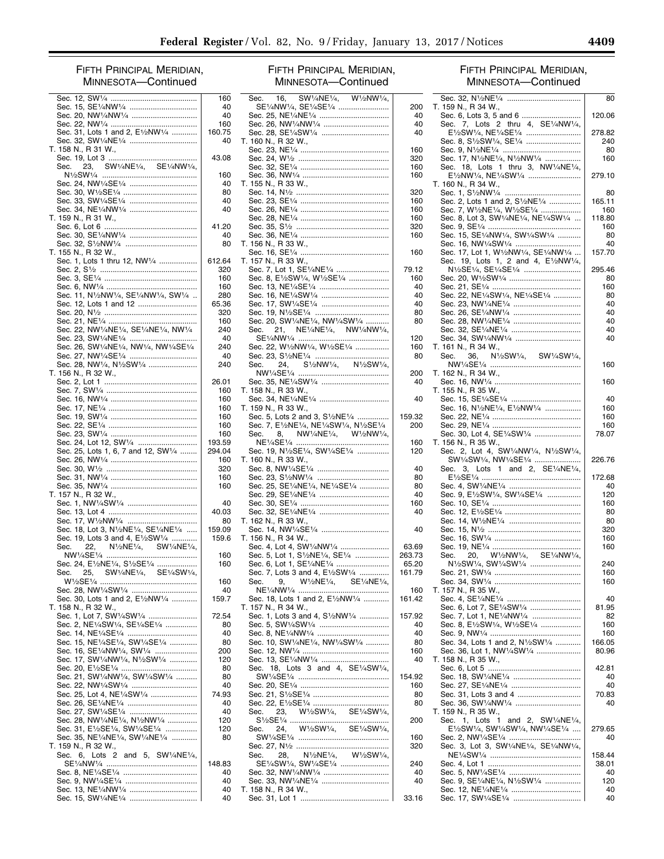# FIFTH PRINCIPAL MERIDIAN, MINNESOTA—Continued

|      |                                                                                                                                     | 160    |
|------|-------------------------------------------------------------------------------------------------------------------------------------|--------|
|      | Sec. 15, SE1/4NW1/4                                                                                                                 | 40     |
|      | Sec. 20, NW1/4NW1/4                                                                                                                 | 40     |
|      |                                                                                                                                     | 160    |
|      | Sec. 31, Lots 1 and 2, E1/2NW1/4                                                                                                    | 160.75 |
|      | Sec. 32, SW1/4NE1/4                                                                                                                 | 40     |
|      | T. 158 N., R 31 W.,                                                                                                                 |        |
|      |                                                                                                                                     | 43.08  |
| Sec. | 23, SW <sup>1</sup> / <sub>4</sub> NE <sup>1</sup> / <sub>4</sub> , SE <sup>1</sup> / <sub>4</sub> NW <sup>1</sup> / <sub>4</sub> , |        |
|      |                                                                                                                                     | 160    |
|      | Sec. 24, NW1/4SE1/4                                                                                                                 | 40     |
|      |                                                                                                                                     | 80     |
|      |                                                                                                                                     | 40     |
|      | Sec. 34, NE1/4NW1/4                                                                                                                 | 40     |
|      | T. 159 N., R 31 W.,                                                                                                                 |        |
|      |                                                                                                                                     | 41.20  |
|      |                                                                                                                                     | 40     |
|      | Sec. 32, S <sup>1</sup> / <sub>2</sub> NW <sup>1</sup> /4                                                                           | 80     |
|      | T. 155 N., R 32 W.,                                                                                                                 |        |
|      |                                                                                                                                     |        |
|      | Sec. 1, Lots 1 thru 12, NW1/4                                                                                                       | 612.64 |
|      |                                                                                                                                     | 320    |
|      |                                                                                                                                     | 160    |
|      |                                                                                                                                     | 160    |
|      | Sec. 11, N <sup>1</sup> / <sub>2</sub> NW <sup>1</sup> /4, SE <sup>1</sup> /4NW <sup>1</sup> /4, SW <sup>1</sup> /4                 | 280    |
|      |                                                                                                                                     | 65.36  |
|      |                                                                                                                                     | 320    |
|      |                                                                                                                                     | 160    |
|      | Sec. 22, NW1/4NE1/4, SE1/4NE1/4, NW1/4                                                                                              | 240    |
|      | Sec. 23, SW1/4NE1/4                                                                                                                 | -40    |
|      | Sec. 26, SW1/4NE1/4, NW1/4, NW1/4SE1/4                                                                                              | 240    |
|      | Sec. 27, NW1/4SE1/4                                                                                                                 | 40     |
|      | Sec. 28, NW1/4, N1/2SW1/4                                                                                                           | 240    |
|      | T. 156 N., R 32 W.,                                                                                                                 |        |
|      |                                                                                                                                     | 26.01  |
|      |                                                                                                                                     | 160    |
|      |                                                                                                                                     | 160    |
|      |                                                                                                                                     | 160    |
|      |                                                                                                                                     | 160    |
|      |                                                                                                                                     | 160    |
|      |                                                                                                                                     |        |
|      |                                                                                                                                     | 160    |
|      | Sec. 24, Lot 12, SW1/4                                                                                                              | 193.59 |
|      | Sec. 25, Lots 1, 6, 7 and 12, SW1/4                                                                                                 | 294.04 |
|      |                                                                                                                                     | 160    |
|      |                                                                                                                                     | 320    |
|      |                                                                                                                                     | 160    |
|      |                                                                                                                                     | 160    |
|      | T. 157 N., R 32 W.,                                                                                                                 |        |
|      |                                                                                                                                     | 40     |
|      |                                                                                                                                     | 40.03  |
|      | Sec. 17, W1/2NW1/4                                                                                                                  | 80     |
|      | Sec. 18, Lot 3, N1/2NE1/4, SE1/4NE1/4                                                                                               | 159.09 |
|      | Sec. 19, Lots 3 and 4, E <sup>1</sup> / <sub>2</sub> SW <sup>1</sup> / <sub>4</sub>                                                 | 159.6  |
|      |                                                                                                                                     |        |
|      |                                                                                                                                     | 160    |
|      | Sec. 24, E <sup>1</sup> /2NE <sup>1</sup> /4, S <sup>1</sup> /2SE <sup>1</sup> /4                                                   | 160    |
|      | Sec. 25, SW1/4NE1/4, SE1/4SW1/4,                                                                                                    |        |
|      |                                                                                                                                     | 160    |
|      | Sec. 28, NW1/4SW1/4                                                                                                                 | 40     |
|      | Sec. 30, Lots 1 and 2, E1/2NW1/4                                                                                                    | 159.7  |
|      | T. 158 N., R 32 W.,                                                                                                                 |        |
|      | Sec. 1, Lot 7, SW1/4SW1/4                                                                                                           | 72.54  |
|      | Sec. 2, NE1/4SW1/4, SE1/4SE1/4                                                                                                      | 80     |
|      |                                                                                                                                     | 40     |
|      | Sec. 14, NE1/4SE1/4<br>Sec. 15, NE1/4SE1/4, SW1/4SE1/4                                                                              |        |
|      |                                                                                                                                     | 80     |
|      | Sec. 16, SE1/4NW1/4, SW1/4                                                                                                          | 200    |
|      | Sec. 17, SW1/4NW1/4, N1/2SW1/4                                                                                                      | 120    |
|      |                                                                                                                                     | 80     |
|      | Sec. 21, SW1/4NW1/4, SW1/4SW1/4                                                                                                     | 80     |
|      |                                                                                                                                     | 40     |
|      | Sec. 25, Lot 4, NE <sup>1</sup> /4SW <sup>1</sup> /4                                                                                | 74.93  |
|      | Sec. 26, SE1/4NE1/4                                                                                                                 | 40     |
|      |                                                                                                                                     | 40     |
|      | Sec. 28, NW1/4NE1/4, N1/2NW1/4                                                                                                      | 120    |
|      | Sec. 31, E1/2SE1/4, SW1/4SE1/4                                                                                                      | 120    |
|      | Sec. 35, NE1/4NE1/4, SW1/4NE1/4                                                                                                     | 80     |
|      | T. 159 N., R 32 W.,                                                                                                                 |        |
|      | Sec. 6, Lots 2 and 5, SW1/4NE1/4,                                                                                                   |        |
|      |                                                                                                                                     | 148.83 |
|      |                                                                                                                                     | 40     |
|      |                                                                                                                                     | 40     |
|      |                                                                                                                                     | 40     |
|      | Sec. 15, SW1/4NE1/4                                                                                                                 | 40     |
|      |                                                                                                                                     |        |

# FIFTH PRINCIPAL MERIDIAN, MINNESOTA—Continued

| Sec. 16, SW1/4NE1/4, W1/2NW1/4,                                                                                                                                                  |               |
|----------------------------------------------------------------------------------------------------------------------------------------------------------------------------------|---------------|
|                                                                                                                                                                                  | 200           |
| SE1/4NW1/4, SE1/4SE1/4<br>Sec. 25, NE1/4NE1/4                                                                                                                                    | 40            |
| Sec. 26, NW1/4NW1/4                                                                                                                                                              | 40            |
| Sec. 28, SE <sup>1</sup> /4SW <sup>1</sup> /4                                                                                                                                    | 40            |
| T. 160 N., R 32 W.,                                                                                                                                                              |               |
|                                                                                                                                                                                  | 160           |
|                                                                                                                                                                                  | 320           |
|                                                                                                                                                                                  | 160           |
|                                                                                                                                                                                  | 160           |
| T. 155 N., R 33 W.,                                                                                                                                                              |               |
|                                                                                                                                                                                  | 320           |
|                                                                                                                                                                                  | 160           |
|                                                                                                                                                                                  | 160           |
|                                                                                                                                                                                  | 160           |
|                                                                                                                                                                                  | 320           |
|                                                                                                                                                                                  | 160           |
| T. 156 N., R 33 W.,                                                                                                                                                              |               |
|                                                                                                                                                                                  | 160           |
| T. 157 N., R 33 W.,                                                                                                                                                              | 79.12         |
| Sec. 8, E <sup>1</sup> / <sub>2</sub> SW <sup>1</sup> /4, W <sup>1</sup> / <sub>2</sub> SE <sup>1</sup> /4                                                                       | 160           |
| Sec. 13, NE1/4SE1/4                                                                                                                                                              | 40            |
| Sec. 16, NE <sup>1</sup> /4SW <sup>1</sup> /4                                                                                                                                    | 40            |
| Sec. 17, SW1/4SE1/4                                                                                                                                                              | 40            |
|                                                                                                                                                                                  | 80            |
| Sec. 20, SW1/4NE1/4, NW1/4SW1/4                                                                                                                                                  | 80            |
|                                                                                                                                                                                  |               |
|                                                                                                                                                                                  | 120           |
| Sec. 22, W <sup>1</sup> /2NW <sup>1</sup> /4, W <sup>1</sup> /2SE <sup>1</sup> /4                                                                                                | 160           |
|                                                                                                                                                                                  | 80            |
| 24, S <sup>1</sup> / <sub>2</sub> NW <sup>1</sup> /4, N <sup>1</sup> / <sub>2</sub> SW <sup>1</sup> /4,<br>Sec.                                                                  |               |
|                                                                                                                                                                                  | 200           |
| Sec. 35, NE <sup>1</sup> /4SW <sup>1</sup> /4                                                                                                                                    | 40            |
| T. 158 N., R 33 W.,                                                                                                                                                              |               |
|                                                                                                                                                                                  | 40            |
| T. 159 N., R 33 W.,                                                                                                                                                              |               |
| Sec. 5, Lots 2 and 3, S1/2NE1/4                                                                                                                                                  | 159.32        |
| Sec. 7, E1/2NE1/4, NE1/4SW1/4, N1/2SE1/4                                                                                                                                         | 200           |
| Sec.                                                                                                                                                                             |               |
|                                                                                                                                                                                  | 160           |
| Sec. 19, N1/2SE1/4, SW1/4SE1/4                                                                                                                                                   | 120           |
| T. 160 N., R 33 W.,                                                                                                                                                              |               |
| Sec. 8, NW1/4SE1/4                                                                                                                                                               | 40            |
| Sec. 23, S <sup>1</sup> / <sub>2</sub> NW <sup>1</sup> /4                                                                                                                        | 80            |
| Sec. 25, SE1/4NE1/4, NE1/4SE1/4                                                                                                                                                  | 80            |
| Sec. 29, SE1/4NE1/4                                                                                                                                                              | 40            |
|                                                                                                                                                                                  | 160           |
| Sec. 32, SE <sup>1</sup> /4NE <sup>1</sup> /4                                                                                                                                    | 40            |
|                                                                                                                                                                                  |               |
| T. 162 N., R 33 W.,                                                                                                                                                              |               |
| Sec. 14, NW1/4SE1/4                                                                                                                                                              | 40            |
| T. 156 N., R 34 W.,                                                                                                                                                              |               |
| Sec. 4, Lot 4, SW1/4NW1/4                                                                                                                                                        | 63.69         |
| Sec. 5, Lot 1, S1/2NE1/4, SE1/4                                                                                                                                                  | 263.73        |
| Sec. 6, Lot 1, SE1/4NE1/4                                                                                                                                                        | 65.20         |
|                                                                                                                                                                                  | 161.79        |
| Sec. 7, Lots 3 and 4, E <sup>1</sup> / <sub>2</sub> SW <sup>1</sup> / <sub>4</sub><br>Sec. 9, W <sup>1</sup> /2NE <sup>1</sup> /4, SE <sup>1</sup> /4NE <sup>1</sup> /4,<br>Sec. |               |
|                                                                                                                                                                                  | 160           |
| Sec. 18, Lots 1 and 2, E1/2NW1/4                                                                                                                                                 | 161.42        |
| T. 157 N., R 34 W.,                                                                                                                                                              |               |
| Sec. 1, Lots 3 and 4, S <sup>1</sup> / <sub>2</sub> NW <sup>1</sup> /4                                                                                                           | 157.92        |
| Sec. 5, SW1/4SW1/4                                                                                                                                                               | 40            |
| Sec. 8, NE1/4NW1/4                                                                                                                                                               | 40            |
| Sec. 10, SW <sup>1</sup> /4NE <sup>1</sup> /4, NW <sup>1</sup> /4SW <sup>1</sup> /4                                                                                              | 80            |
|                                                                                                                                                                                  | 160           |
| Sec. 13, SE1⁄4NW1⁄4                                                                                                                                                              | 40            |
| Sec. 18, Lots 3 and 4, SE <sup>1</sup> /4SW <sup>1</sup> /4,                                                                                                                     |               |
|                                                                                                                                                                                  | 154.92<br>160 |
|                                                                                                                                                                                  | 80            |
|                                                                                                                                                                                  | 80            |
| 23, W1/2SW1/4, SE1/4SW1/4,<br>Sec.                                                                                                                                               |               |
|                                                                                                                                                                                  | 200           |
| 24.<br>Sec.                                                                                                                                                                      |               |
| W1/2SW1/4, SE1/4SW1/4,                                                                                                                                                           | 160           |
|                                                                                                                                                                                  | 320           |
| N <sup>1</sup> /2NE <sup>1</sup> /4, W <sup>1</sup> /2SW <sup>1</sup> /4,<br>28,<br>Sec.                                                                                         |               |
| SE1/4SW1/4, SW1/4SE1/4                                                                                                                                                           | 240           |
| Sec. 32, NW1/4NW1/4                                                                                                                                                              | 40            |
| Sec. 33, NW1/4NE1/4                                                                                                                                                              | 40            |
| T. 158 N., R 34 W.,                                                                                                                                                              | 33.16         |

# FIFTH PRINCIPAL MERIDIAN, MINNESOTA—Continued

|                                                                                                                                      | 80         |
|--------------------------------------------------------------------------------------------------------------------------------------|------------|
| T. 159 N., R 34 W.,                                                                                                                  |            |
| Sec. 6, Lots 3, 5 and 6                                                                                                              | 120.06     |
| Sec. 7, Lots 2 thru 4, SE1/4NW1/4,                                                                                                   |            |
| E <sup>1</sup> / <sub>2</sub> SW <sup>1</sup> /4, NE <sup>1</sup> /4SE <sup>1</sup> /4                                               | 278.82     |
| Sec. 8, S <sup>1</sup> / <sub>2</sub> SW <sup>1</sup> /4, SE <sup>1</sup> /4                                                         | 240        |
|                                                                                                                                      | 80         |
| Sec. 17, N <sup>1</sup> / <sub>2</sub> NE <sup>1</sup> /4, N <sup>1</sup> /2NW <sup>1</sup> /4                                       | 160        |
| 18, Lots 1 thru 3, NW1/4NE1/4,<br>Sec.                                                                                               |            |
| E <sup>1</sup> / <sub>2</sub> NW <sup>1</sup> /4, NE <sup>1</sup> /4SW <sup>1</sup> /4                                               | 279.10     |
| T. 160 N., R 34 W.,                                                                                                                  |            |
|                                                                                                                                      | 80         |
| Sec. 2, Lots 1 and 2, S1/2NE1/4                                                                                                      | 165.11     |
| Sec. 7, W1/2NE1/4, W1/2SE1/4                                                                                                         | 160        |
| Sec. 8, Lot 3, SW1/4NE1/4, NE1/4SW1/4                                                                                                | 118.80     |
|                                                                                                                                      | 160        |
| Sec. 15, SE <sup>1</sup> /4NW <sup>1</sup> /4, SW <sup>1</sup> /4SW <sup>1</sup> /4                                                  | 80         |
| Sec. 16, NW <sup>1</sup> /4SW <sup>1</sup> /4                                                                                        | 40         |
| Sec. 17, Lot 1, W1/2NW1/4, SE1/4NW1/4                                                                                                | 157.70     |
| Sec. 19, Lots 1, 2 and 4, E1/2NW1/4,                                                                                                 |            |
| N <sup>1</sup> / <sub>2</sub> SE <sup>1</sup> /4, SE <sup>1</sup> /4SE <sup>1</sup> /4                                               | 295.46     |
|                                                                                                                                      | 80         |
|                                                                                                                                      | 160        |
| Sec. 22, NE1/4SW1/4, NE1/4SE1/4                                                                                                      |            |
| Sec. 23, NW1/4NE1/4                                                                                                                  | 80         |
|                                                                                                                                      | 40         |
| Sec. 26, SE1/4NW1/4                                                                                                                  | 40         |
| Sec. 28, NW1/4NE1/4                                                                                                                  | 40         |
| Sec. 32, SE <sup>1</sup> /4NE <sup>1</sup> /4                                                                                        | 40         |
| Sec. 34, SW1/4NW1/4                                                                                                                  | 40         |
| T. 161 N., R 34 W.,                                                                                                                  |            |
| 36, N <sup>1</sup> / <sub>2</sub> SW <sup>1</sup> /4, SW <sup>1</sup> /4SW <sup>1</sup> /4,<br>Sec.                                  |            |
|                                                                                                                                      | 160        |
| T. 162 N., R 34 W.,                                                                                                                  |            |
|                                                                                                                                      | 160        |
| T. 155 N., R 35 W.,                                                                                                                  |            |
| Sec. 15, SE1/4SE1/4                                                                                                                  | 40         |
| Sec. 16, N <sup>1</sup> / <sub>2</sub> NE <sup>1</sup> / <sub>4</sub> , E <sup>1</sup> / <sub>2</sub> NW <sup>1</sup> / <sub>4</sub> | 160        |
|                                                                                                                                      | 160        |
|                                                                                                                                      | 160        |
| Sec. 30, Lot 4, SE1/4SW1/4                                                                                                           | 78.07      |
|                                                                                                                                      |            |
| T. 156 N., R 35 W.,                                                                                                                  |            |
|                                                                                                                                      |            |
| Sec. 2, Lot 4, SW1/4NW1/4, N1/2SW1/4,<br>SW1/4SW1/4, NW1/4SE1/4                                                                      | 226.76     |
|                                                                                                                                      |            |
| Sec. 3, Lots 1 and 2, SE1/4NE1/4,                                                                                                    | 172.68     |
|                                                                                                                                      | 40         |
| Sec. 9, E1/2SW1/4, SW1/4SE1/4                                                                                                        | 120        |
|                                                                                                                                      | 160        |
|                                                                                                                                      | 80         |
|                                                                                                                                      | 80         |
|                                                                                                                                      |            |
|                                                                                                                                      | 320        |
|                                                                                                                                      | 160        |
|                                                                                                                                      | 160        |
| Sec. 20, W1/2NW1/4, SE1/4NW1/4,                                                                                                      |            |
|                                                                                                                                      | 240        |
| Sec. 21, SW1⁄4                                                                                                                       | 160<br>160 |
|                                                                                                                                      |            |
| T. 157 N., R 35 W.,                                                                                                                  |            |
|                                                                                                                                      | 40         |
| Sec. 6, Lot 7, SE1/4SW1/4                                                                                                            | 81.95      |
| Sec. 7, Lot 1, NE1/4NW1/4                                                                                                            | 82         |
| Sec. 8, E1/2SW1/4, W1/2SE1/4                                                                                                         | 160        |
|                                                                                                                                      | 160        |
| Sec. 34, Lots 1 and 2, N1/2SW1/4                                                                                                     | 166.05     |
| Sec. 36, Lot 1, NW1/4SW1/4                                                                                                           | 80.96      |
| T. 158 N., R 35 W.,                                                                                                                  |            |
|                                                                                                                                      | 42.81      |
| Sec. 18, SW1/4NE1/4                                                                                                                  | 40         |
|                                                                                                                                      | 40         |
|                                                                                                                                      | 70.83      |
| Sec. 36, SW1/4NW1/4                                                                                                                  | 40         |
| T. 159 N., R 35 W.,                                                                                                                  |            |
| 1, Lots 1 and 2, $SW!/4NE!/4$ ,<br>Sec.                                                                                              |            |
| E <sup>1</sup> / <sub>2</sub> SW <sup>1</sup> /4, SW <sup>1</sup> /4SW <sup>1</sup> /4, NW <sup>1</sup> /4SE <sup>1</sup> /4         | 279.65     |
| Sec. 2, NW1/4SE1/4                                                                                                                   | 40         |
| Sec. 3, Lot 3, SW1/4NE1/4, SE1/4NW1/4,                                                                                               |            |
|                                                                                                                                      | 158.44     |
|                                                                                                                                      | 38.01      |
|                                                                                                                                      | 40         |
| Sec. 9, SE1/4NE1/4, N1/2SW1/4                                                                                                        | 120        |
|                                                                                                                                      | 40<br>40   |

e<br>B